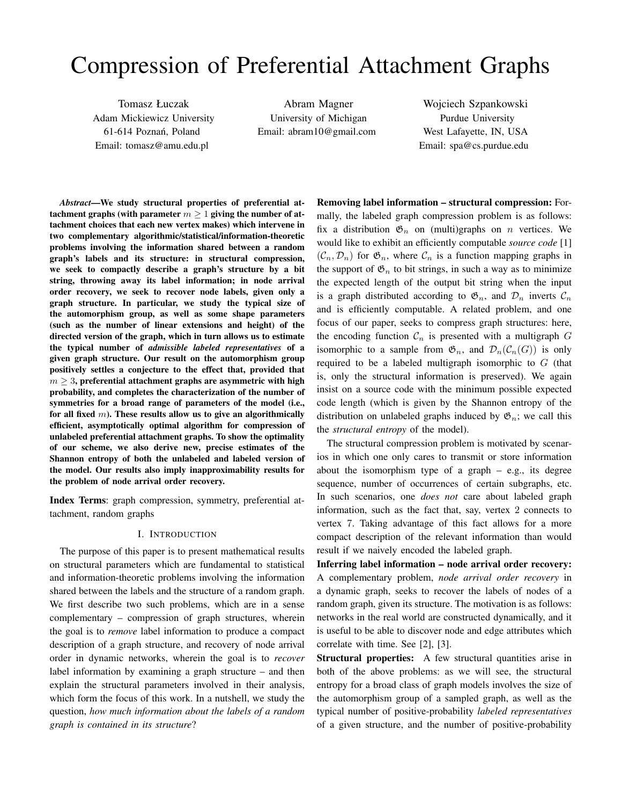# Compression of Preferential Attachment Graphs

Tomasz Łuczak Adam Mickiewicz University 61-614 Poznań, Poland Email: tomasz@amu.edu.pl

Abram Magner University of Michigan Email: abram10@gmail.com

Wojciech Szpankowski Purdue University West Lafayette, IN, USA Email: spa@cs.purdue.edu

*Abstract*—We study structural properties of preferential attachment graphs (with parameter  $m \geq 1$  giving the number of attachment choices that each new vertex makes) which intervene in two complementary algorithmic/statistical/information-theoretic problems involving the information shared between a random graph's labels and its structure: in structural compression, we seek to compactly describe a graph's structure by a bit string, throwing away its label information; in node arrival order recovery, we seek to recover node labels, given only a graph structure. In particular, we study the typical size of the automorphism group, as well as some shape parameters (such as the number of linear extensions and height) of the directed version of the graph, which in turn allows us to estimate the typical number of *admissible labeled representatives* of a given graph structure. Our result on the automorphism group positively settles a conjecture to the effect that, provided that  $m \geq 3$ , preferential attachment graphs are asymmetric with high probability, and completes the characterization of the number of symmetries for a broad range of parameters of the model (i.e., for all fixed  $m$ ). These results allow us to give an algorithmically efficient, asymptotically optimal algorithm for compression of unlabeled preferential attachment graphs. To show the optimality of our scheme, we also derive new, precise estimates of the Shannon entropy of both the unlabeled and labeled version of the model. Our results also imply inapproximability results for the problem of node arrival order recovery.

Index Terms: graph compression, symmetry, preferential attachment, random graphs

## I. INTRODUCTION

The purpose of this paper is to present mathematical results on structural parameters which are fundamental to statistical and information-theoretic problems involving the information shared between the labels and the structure of a random graph. We first describe two such problems, which are in a sense complementary – compression of graph structures, wherein the goal is to *remove* label information to produce a compact description of a graph structure, and recovery of node arrival order in dynamic networks, wherein the goal is to *recover* label information by examining a graph structure – and then explain the structural parameters involved in their analysis, which form the focus of this work. In a nutshell, we study the question, *how much information about the labels of a random graph is contained in its structure*?

Removing label information – structural compression: Formally, the labeled graph compression problem is as follows: fix a distribution  $\mathfrak{G}_n$  on (multi)graphs on *n* vertices. We would like to exhibit an efficiently computable *source code* [1]  $(C_n, \mathcal{D}_n)$  for  $\mathfrak{G}_n$ , where  $\mathcal{C}_n$  is a function mapping graphs in the support of  $\mathfrak{G}_n$  to bit strings, in such a way as to minimize the expected length of the output bit string when the input is a graph distributed according to  $\mathfrak{G}_n$ , and  $\mathcal{D}_n$  inverts  $\mathcal{C}_n$ and is efficiently computable. A related problem, and one focus of our paper, seeks to compress graph structures: here, the encoding function  $\mathcal{C}_n$  is presented with a multigraph G isomorphic to a sample from  $\mathfrak{G}_n$ , and  $\mathcal{D}_n(\mathcal{C}_n(G))$  is only required to be a labeled multigraph isomorphic to  $G$  (that is, only the structural information is preserved). We again insist on a source code with the minimum possible expected code length (which is given by the Shannon entropy of the distribution on unlabeled graphs induced by  $\mathfrak{G}_n$ ; we call this the *structural entropy* of the model).

The structural compression problem is motivated by scenarios in which one only cares to transmit or store information about the isomorphism type of a graph  $-$  e.g., its degree sequence, number of occurrences of certain subgraphs, etc. In such scenarios, one *does not* care about labeled graph information, such as the fact that, say, vertex 2 connects to vertex 7. Taking advantage of this fact allows for a more compact description of the relevant information than would result if we naively encoded the labeled graph.

Inferring label information – node arrival order recovery: A complementary problem, *node arrival order recovery* in a dynamic graph, seeks to recover the labels of nodes of a random graph, given its structure. The motivation is as follows: networks in the real world are constructed dynamically, and it is useful to be able to discover node and edge attributes which correlate with time. See [2], [3].

Structural properties: A few structural quantities arise in both of the above problems: as we will see, the structural entropy for a broad class of graph models involves the size of the automorphism group of a sampled graph, as well as the typical number of positive-probability *labeled representatives* of a given structure, and the number of positive-probability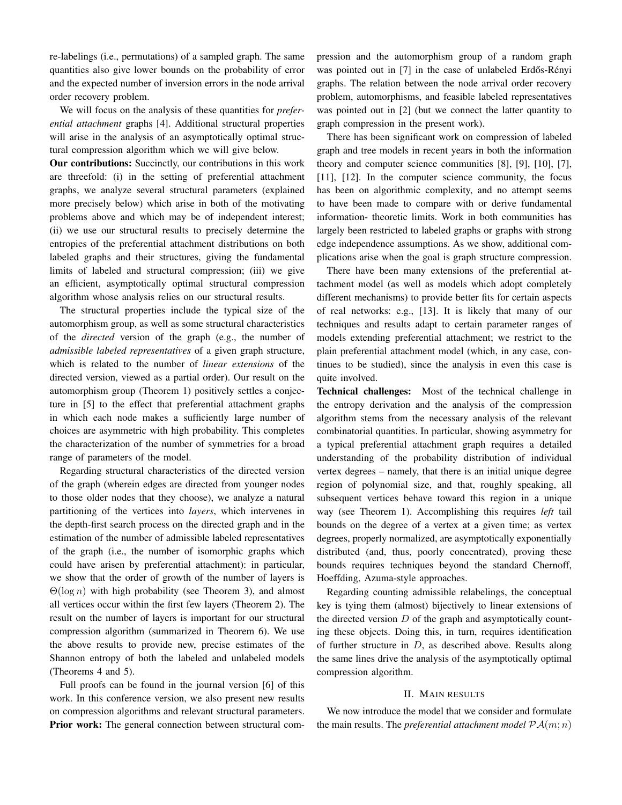re-labelings (i.e., permutations) of a sampled graph. The same quantities also give lower bounds on the probability of error and the expected number of inversion errors in the node arrival order recovery problem.

We will focus on the analysis of these quantities for *preferential attachment* graphs [4]. Additional structural properties will arise in the analysis of an asymptotically optimal structural compression algorithm which we will give below.

Our contributions: Succinctly, our contributions in this work are threefold: (i) in the setting of preferential attachment graphs, we analyze several structural parameters (explained more precisely below) which arise in both of the motivating problems above and which may be of independent interest; (ii) we use our structural results to precisely determine the entropies of the preferential attachment distributions on both labeled graphs and their structures, giving the fundamental limits of labeled and structural compression; (iii) we give an efficient, asymptotically optimal structural compression algorithm whose analysis relies on our structural results.

The structural properties include the typical size of the automorphism group, as well as some structural characteristics of the *directed* version of the graph (e.g., the number of *admissible labeled representatives* of a given graph structure, which is related to the number of *linear extensions* of the directed version, viewed as a partial order). Our result on the automorphism group (Theorem 1) positively settles a conjecture in [5] to the effect that preferential attachment graphs in which each node makes a sufficiently large number of choices are asymmetric with high probability. This completes the characterization of the number of symmetries for a broad range of parameters of the model.

Regarding structural characteristics of the directed version of the graph (wherein edges are directed from younger nodes to those older nodes that they choose), we analyze a natural partitioning of the vertices into *layers*, which intervenes in the depth-first search process on the directed graph and in the estimation of the number of admissible labeled representatives of the graph (i.e., the number of isomorphic graphs which could have arisen by preferential attachment): in particular, we show that the order of growth of the number of layers is  $\Theta(\log n)$  with high probability (see Theorem 3), and almost all vertices occur within the first few layers (Theorem 2). The result on the number of layers is important for our structural compression algorithm (summarized in Theorem 6). We use the above results to provide new, precise estimates of the Shannon entropy of both the labeled and unlabeled models (Theorems 4 and 5).

Full proofs can be found in the journal version [6] of this work. In this conference version, we also present new results on compression algorithms and relevant structural parameters. Prior work: The general connection between structural compression and the automorphism group of a random graph was pointed out in [7] in the case of unlabeled Erdős-Rényi graphs. The relation between the node arrival order recovery problem, automorphisms, and feasible labeled representatives was pointed out in [2] (but we connect the latter quantity to graph compression in the present work).

There has been significant work on compression of labeled graph and tree models in recent years in both the information theory and computer science communities [8], [9], [10], [7], [11], [12]. In the computer science community, the focus has been on algorithmic complexity, and no attempt seems to have been made to compare with or derive fundamental information- theoretic limits. Work in both communities has largely been restricted to labeled graphs or graphs with strong edge independence assumptions. As we show, additional complications arise when the goal is graph structure compression.

There have been many extensions of the preferential attachment model (as well as models which adopt completely different mechanisms) to provide better fits for certain aspects of real networks: e.g., [13]. It is likely that many of our techniques and results adapt to certain parameter ranges of models extending preferential attachment; we restrict to the plain preferential attachment model (which, in any case, continues to be studied), since the analysis in even this case is quite involved.

Technical challenges: Most of the technical challenge in the entropy derivation and the analysis of the compression algorithm stems from the necessary analysis of the relevant combinatorial quantities. In particular, showing asymmetry for a typical preferential attachment graph requires a detailed understanding of the probability distribution of individual vertex degrees – namely, that there is an initial unique degree region of polynomial size, and that, roughly speaking, all subsequent vertices behave toward this region in a unique way (see Theorem 1). Accomplishing this requires *left* tail bounds on the degree of a vertex at a given time; as vertex degrees, properly normalized, are asymptotically exponentially distributed (and, thus, poorly concentrated), proving these bounds requires techniques beyond the standard Chernoff, Hoeffding, Azuma-style approaches.

Regarding counting admissible relabelings, the conceptual key is tying them (almost) bijectively to linear extensions of the directed version  $D$  of the graph and asymptotically counting these objects. Doing this, in turn, requires identification of further structure in D, as described above. Results along the same lines drive the analysis of the asymptotically optimal compression algorithm.

## II. MAIN RESULTS

We now introduce the model that we consider and formulate the main results. The *preferential attachment model*  $P\mathcal{A}(m; n)$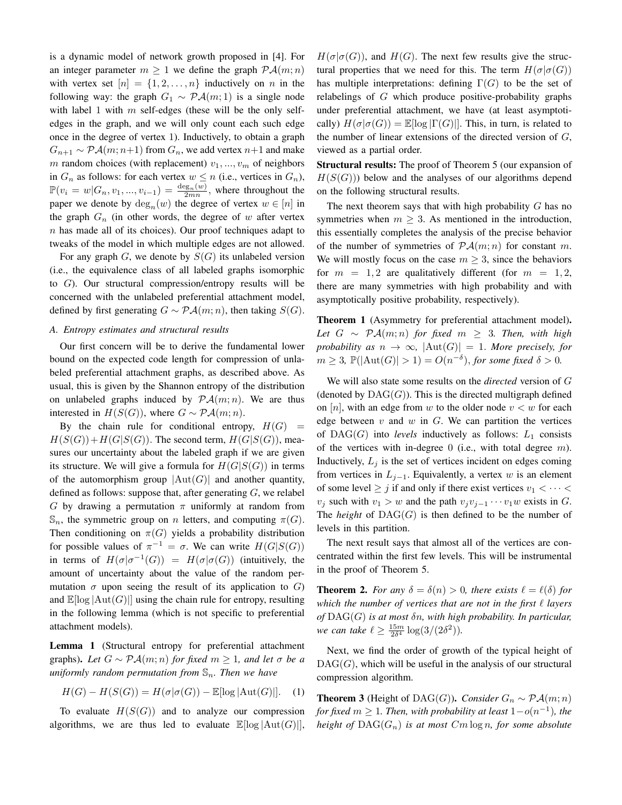is a dynamic model of network growth proposed in [4]. For an integer parameter  $m \geq 1$  we define the graph  $\mathcal{P} \mathcal{A}(m; n)$ with vertex set  $[n] = \{1, 2, \ldots, n\}$  inductively on n in the following way: the graph  $G_1 \sim \mathcal{P} \mathcal{A}(m; 1)$  is a single node with label 1 with  $m$  self-edges (these will be the only selfedges in the graph, and we will only count each such edge once in the degree of vertex 1). Inductively, to obtain a graph  $G_{n+1} \sim \mathcal{P} \mathcal{A}(m; n+1)$  from  $G_n$ , we add vertex  $n+1$  and make m random choices (with replacement)  $v_1, ..., v_m$  of neighbors in  $G_n$  as follows: for each vertex  $w \le n$  (i.e., vertices in  $G_n$ ),  $\mathbb{P}(v_i = w | G_n, v_1, ..., v_{i-1}) = \frac{\deg_n(w)}{2mn}$ , where throughout the paper we denote by  $deg_n(w)$  the degree of vertex  $w \in [n]$  in the graph  $G_n$  (in other words, the degree of w after vertex  $n$  has made all of its choices). Our proof techniques adapt to tweaks of the model in which multiple edges are not allowed.

For any graph  $G$ , we denote by  $S(G)$  its unlabeled version (i.e., the equivalence class of all labeled graphs isomorphic to  $G$ ). Our structural compression/entropy results will be concerned with the unlabeled preferential attachment model, defined by first generating  $G \sim \mathcal{P} \mathcal{A}(m; n)$ , then taking  $S(G)$ .

## *A. Entropy estimates and structural results*

Our first concern will be to derive the fundamental lower bound on the expected code length for compression of unlabeled preferential attachment graphs, as described above. As usual, this is given by the Shannon entropy of the distribution on unlabeled graphs induced by  $\mathcal{P} \mathcal{A}(m; n)$ . We are thus interested in  $H(S(G))$ , where  $G \sim \mathcal{P} \mathcal{A}(m; n)$ .

By the chain rule for conditional entropy,  $H(G)$  =  $H(S(G)) + H(G|S(G))$ . The second term,  $H(G|S(G))$ , measures our uncertainty about the labeled graph if we are given its structure. We will give a formula for  $H(G|S(G))$  in terms of the automorphism group  $|\text{Aut}(G)|$  and another quantity, defined as follows: suppose that, after generating  $G$ , we relabel G by drawing a permutation  $\pi$  uniformly at random from  $\mathbb{S}_n$ , the symmetric group on n letters, and computing  $\pi(G)$ . Then conditioning on  $\pi(G)$  yields a probability distribution for possible values of  $\pi^{-1} = \sigma$ . We can write  $H(G|S(G))$ in terms of  $H(\sigma | \sigma^{-1}(G)) = H(\sigma | \sigma(G))$  (intuitively, the amount of uncertainty about the value of the random permutation  $\sigma$  upon seeing the result of its application to  $G$ ) and  $\mathbb{E}[\log|\text{Aut}(G)|]$  using the chain rule for entropy, resulting in the following lemma (which is not specific to preferential attachment models).

Lemma 1 (Structural entropy for preferential attachment graphs). Let  $G \sim \mathcal{P} \mathcal{A}(m; n)$  *for fixed*  $m \geq 1$ *, and let*  $\sigma$  *be a uniformly random permutation from*  $\mathbb{S}_n$ *. Then we have* 

$$
H(G) - H(S(G)) = H(\sigma|\sigma(G)) - \mathbb{E}[\log|\text{Aut}(G)|]. \quad (1)
$$

To evaluate  $H(S(G))$  and to analyze our compression algorithms, we are thus led to evaluate  $\mathbb{E}[\log |\text{Aut}(G)|],$   $H(\sigma | \sigma(G))$ , and  $H(G)$ . The next few results give the structural properties that we need for this. The term  $H(\sigma | \sigma(G))$ has multiple interpretations: defining  $\Gamma(G)$  to be the set of relabelings of G which produce positive-probability graphs under preferential attachment, we have (at least asymptotically)  $H(\sigma | \sigma(G)) = \mathbb{E}[\log |\Gamma(G)|]$ . This, in turn, is related to the number of linear extensions of the directed version of  $G$ , viewed as a partial order.

Structural results: The proof of Theorem 5 (our expansion of  $H(S(G))$ ) below and the analyses of our algorithms depend on the following structural results.

The next theorem says that with high probability  $G$  has no symmetries when  $m > 3$ . As mentioned in the introduction, this essentially completes the analysis of the precise behavior of the number of symmetries of  $P\mathcal{A}(m; n)$  for constant m. We will mostly focus on the case  $m \geq 3$ , since the behaviors for  $m = 1, 2$  are qualitatively different (for  $m = 1, 2$ , there are many symmetries with high probability and with asymptotically positive probability, respectively).

Theorem 1 (Asymmetry for preferential attachment model). *Let*  $G$  ∼  $\mathcal{P}A(m;n)$  *for fixed*  $m \geq 3$ *. Then, with high probability as*  $n \to \infty$ ,  $|\text{Aut}(G)| = 1$ . More precisely, for  $m \geq 3$ ,  $\mathbb{P}(|\text{Aut}(G)| > 1) = O(n^{-\delta}),$  for some fixed  $\delta > 0$ .

We will also state some results on the *directed* version of G (denoted by  $\text{DAG}(G)$ ). This is the directed multigraph defined on [n], with an edge from w to the older node  $v < w$  for each edge between  $v$  and  $w$  in  $G$ . We can partition the vertices of  $\text{DAG}(G)$  into *levels* inductively as follows:  $L_1$  consists of the vertices with in-degree  $0$  (i.e., with total degree  $m$ ). Inductively,  $L_j$  is the set of vertices incident on edges coming from vertices in  $L_{j-1}$ . Equivalently, a vertex w is an element of some level  $\geq j$  if and only if there exist vertices  $v_1 < \cdots < v_n$  $v_j$  such with  $v_1 > w$  and the path  $v_jv_{j-1} \cdots v_1w$  exists in G. The *height* of  $\text{DAG}(G)$  is then defined to be the number of levels in this partition.

The next result says that almost all of the vertices are concentrated within the first few levels. This will be instrumental in the proof of Theorem 5.

**Theorem 2.** *For any*  $\delta = \delta(n) > 0$ , *there exists*  $\ell = \ell(\delta)$  *for which the number of vertices that are not in the first*  $\ell$  *layers of* DAG(G) *is at most* δn*, with high probability. In particular, we can take*  $\ell \ge \frac{15m}{2\delta^4} \log(3/(2\delta^2)).$ 

Next, we find the order of growth of the typical height of  $DAG(G)$ , which will be useful in the analysis of our structural compression algorithm.

**Theorem 3** (Height of DAG(G)). *Consider*  $G_n \sim \mathcal{P} \mathcal{A}(m; n)$ *for fixed*  $m \geq 1$ *. Then, with probability at least*  $1 - o(n^{-1})$ *, the height of*  $\text{DAG}(G_n)$  *is at most*  $Cm \log n$ *, for some absolute*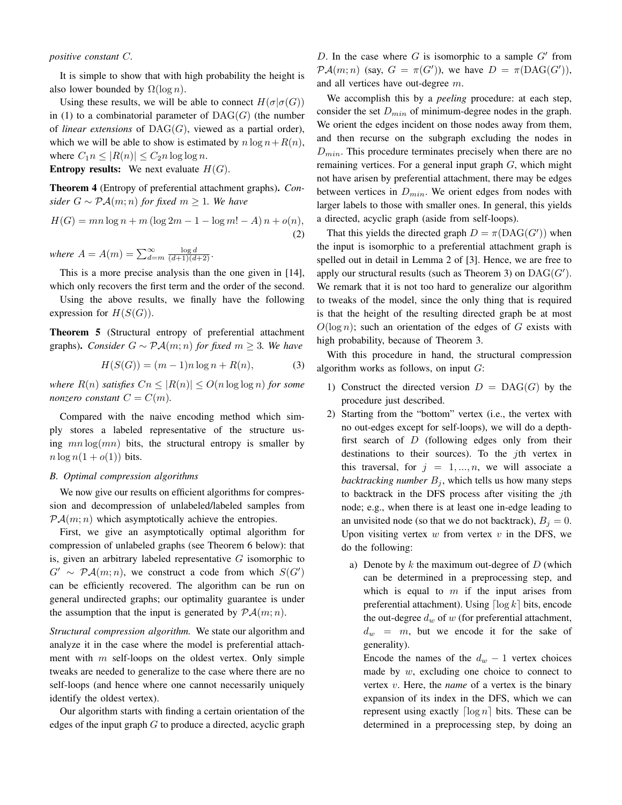*positive constant* C*.*

It is simple to show that with high probability the height is also lower bounded by  $\Omega(\log n)$ .

Using these results, we will be able to connect  $H(\sigma | \sigma(G))$ in (1) to a combinatorial parameter of  $\text{DAG}(G)$  (the number of *linear extensions* of DAG(G), viewed as a partial order), which we will be able to show is estimated by  $n \log n + R(n)$ , where  $C_1 n \leq |R(n)| \leq C_2 n \log \log n$ . **Entropy results:** We next evaluate  $H(G)$ .

Theorem 4 (Entropy of preferential attachment graphs). *Consider*  $G ∼ P\mathcal{A}(m; n)$  *for fixed*  $m ≥ 1$ *. We have* 

$$
H(G) = mn \log n + m (\log 2m - 1 - \log m! - A) n + o(n),
$$
\n(2)

*where*  $A = A(m) = \sum_{d=m}^{\infty} \frac{\log d}{(d+1)(d+2)}$ .

This is a more precise analysis than the one given in [14], which only recovers the first term and the order of the second.

Using the above results, we finally have the following expression for  $H(S(G))$ .

Theorem 5 (Structural entropy of preferential attachment graphs). *Consider*  $G \sim \mathcal{P} \mathcal{A}(m; n)$  *for fixed*  $m \geq 3$ *. We have* 

$$
H(S(G)) = (m-1)n \log n + R(n),\tag{3}
$$

*where*  $R(n)$  *satisfies*  $Cn \leq |R(n)| \leq O(n \log \log n)$  *for some nonzero constant*  $C = C(m)$ *.* 

Compared with the naive encoding method which simply stores a labeled representative of the structure using  $mn \log(mn)$  bits, the structural entropy is smaller by  $n \log n(1 + o(1))$  bits.

## *B. Optimal compression algorithms*

We now give our results on efficient algorithms for compression and decompression of unlabeled/labeled samples from  $P\mathcal{A}(m; n)$  which asymptotically achieve the entropies.

First, we give an asymptotically optimal algorithm for compression of unlabeled graphs (see Theorem 6 below): that is, given an arbitrary labeled representative  $G$  isomorphic to  $G' \sim \mathcal{P} \mathcal{A}(m; n)$ , we construct a code from which  $S(G')$ can be efficiently recovered. The algorithm can be run on general undirected graphs; our optimality guarantee is under the assumption that the input is generated by  $\mathcal{P}A(m; n)$ .

*Structural compression algorithm.* We state our algorithm and analyze it in the case where the model is preferential attachment with  $m$  self-loops on the oldest vertex. Only simple tweaks are needed to generalize to the case where there are no self-loops (and hence where one cannot necessarily uniquely identify the oldest vertex).

Our algorithm starts with finding a certain orientation of the edges of the input graph  $G$  to produce a directed, acyclic graph

D. In the case where  $G$  is isomorphic to a sample  $G'$  from  $\mathcal{P} \mathcal{A}(m; n)$  (say,  $G = \pi(G')$ ), we have  $D = \pi(\text{DAG}(G'))$ , and all vertices have out-degree m.

We accomplish this by a *peeling* procedure: at each step, consider the set  $D_{min}$  of minimum-degree nodes in the graph. We orient the edges incident on those nodes away from them, and then recurse on the subgraph excluding the nodes in  $D_{min}$ . This procedure terminates precisely when there are no remaining vertices. For a general input graph  $G$ , which might not have arisen by preferential attachment, there may be edges between vertices in  $D_{min}$ . We orient edges from nodes with larger labels to those with smaller ones. In general, this yields a directed, acyclic graph (aside from self-loops).

That this yields the directed graph  $D = \pi(DAG(G'))$  when the input is isomorphic to a preferential attachment graph is spelled out in detail in Lemma 2 of [3]. Hence, we are free to apply our structural results (such as Theorem 3) on  $\mathrm{DAG}(G')$ . We remark that it is not too hard to generalize our algorithm to tweaks of the model, since the only thing that is required is that the height of the resulting directed graph be at most  $O(\log n)$ ; such an orientation of the edges of G exists with high probability, because of Theorem 3.

With this procedure in hand, the structural compression algorithm works as follows, on input  $G$ :

- 1) Construct the directed version  $D = DAG(G)$  by the procedure just described.
- 2) Starting from the "bottom" vertex (i.e., the vertex with no out-edges except for self-loops), we will do a depthfirst search of  $D$  (following edges only from their destinations to their sources). To the jth vertex in this traversal, for  $j = 1, ..., n$ , we will associate a *backtracking number*  $B_j$ , which tells us how many steps to backtrack in the DFS process after visiting the  $j$ th node; e.g., when there is at least one in-edge leading to an unvisited node (so that we do not backtrack),  $B_i = 0$ . Upon visiting vertex  $w$  from vertex  $v$  in the DFS, we do the following:
	- a) Denote by  $k$  the maximum out-degree of  $D$  (which can be determined in a preprocessing step, and which is equal to  $m$  if the input arises from preferential attachment). Using  $\lceil \log k \rceil$  bits, encode the out-degree  $d_w$  of w (for preferential attachment,  $d_w = m$ , but we encode it for the sake of generality).

Encode the names of the  $d_w - 1$  vertex choices made by  $w$ , excluding one choice to connect to vertex v. Here, the *name* of a vertex is the binary expansion of its index in the DFS, which we can represent using exactly  $\lceil \log n \rceil$  bits. These can be determined in a preprocessing step, by doing an